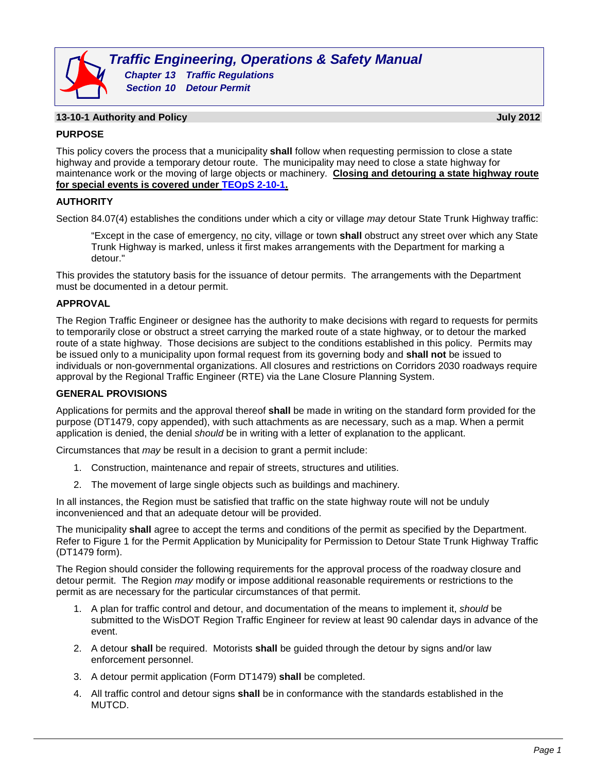

### **13-10-1 Authority and Policy July 2012**

# **PURPOSE**

This policy covers the process that a municipality **shall** follow when requesting permission to close a state highway and provide a temporary detour route. The municipality may need to close a state highway for maintenance work or the moving of large objects or machinery. **Closing and detouring a state highway route for special events is covered under [TEOpS](http://wisconsindot.gov/dtsdManuals/traffic-ops/manuals-and-standards/teops/02-10.pdf) 2-10-1.**

# **AUTHORITY**

Section 84.07(4) establishes the conditions under which a city or village *may* detour State Trunk Highway traffic:

"Except in the case of emergency, no city, village or town shall obstruct any street over which any State Trunk Highway is marked, unless it first makes arrangements with the Department for marking a detour."

This provides the statutory basis for the issuance of detour permits. The arrangements with the Department must be documented in a detour permit.

# **APPROVAL**

The Region Traffic Engineer or designee has the authority to make decisions with regard to requests for permits to temporarily close or obstruct a street carrying the marked route of a state highway, or to detour the marked route of a state highway. Those decisions are subject to the conditions established in this policy. Permits may be issued only to a municipality upon formal request from its governing body and **shall not** be issued to individuals or non-governmental organizations. All closures and restrictions on Corridors 2030 roadways require approval by the Regional Traffic Engineer (RTE) via the Lane Closure Planning System.

#### **GENERAL PROVISIONS**

Applications for permits and the approval thereof **shall** be made in writing on the standard form provided for the purpose (DT1479, copy appended), with such attachments as are necessary, such as a map. When a permit application is denied, the denial *should* be in writing with a letter of explanation to the applicant.

Circumstances that *may* be result in a decision to grant a permit include:

- 1. Construction, maintenance and repair of streets, structures and utilities.
- 2. The movement of large single objects such as buildings and machinery.

In all instances, the Region must be satisfied that traffic on the state highway route will not be unduly inconvenienced and that an adequate detour will be provided.

The municipality **shall** agree to accept the terms and conditions of the permit as specified by the Department. Refer to Figure 1 for the Permit Application by Municipality for Permission to Detour State Trunk Highway Traffic (DT1479 form).

The Region should consider the following requirements for the approval process of the roadway closure and detour permit. The Region *may* modify or impose additional reasonable requirements or restrictions to the permit as are necessary for the particular circumstances of that permit.

- 1. A plan for traffic control and detour, and documentation of the means to implement it, *should* be submitted to the WisDOT Region Traffic Engineer for review at least 90 calendar days in advance of the event.
- 2. A detour **shall** be required. Motorists **shall** be guided through the detour by signs and/or law enforcement personnel.
- 3. A detour permit application (Form DT1479) **shall** be completed.
- 4. All traffic control and detour signs **shall** be in conformance with the standards established in the MUTCD.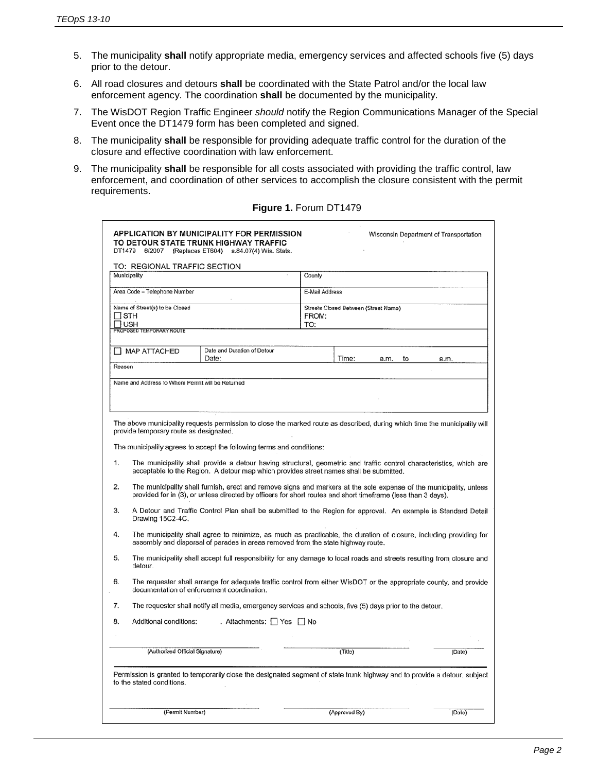- 5. The municipality **shall** notify appropriate media, emergency services and affected schools five (5) days prior to the detour.
- 6. All road closures and detours **shall** be coordinated with the State Patrol and/or the local law enforcement agency. The coordination **shall** be documented by the municipality.
- 7. The WisDOT Region Traffic Engineer *should* notify the Region Communications Manager of the Special Event once the DT1479 form has been completed and signed.
- 8. The municipality **shall** be responsible for providing adequate traffic control for the duration of the closure and effective coordination with law enforcement.
- 9. The municipality **shall** be responsible for all costs associated with providing the traffic control, law enforcement, and coordination of other services to accomplish the closure consistent with the permit requirements.

| <b>APPLICATION BY MUNICIPALITY FOR PERMISSION</b><br>Wisconsin Department of Transportation                                                            |                                                                                                                                                                                                                                    |                                                                                                                            |                                      |               |      |    |        |  |
|--------------------------------------------------------------------------------------------------------------------------------------------------------|------------------------------------------------------------------------------------------------------------------------------------------------------------------------------------------------------------------------------------|----------------------------------------------------------------------------------------------------------------------------|--------------------------------------|---------------|------|----|--------|--|
|                                                                                                                                                        | TO DETOUR STATE TRUNK HIGHWAY TRAFFIC<br>DT1479 6/2007 (Replaces ET604) s.84.07(4) Wis. Stats.                                                                                                                                     |                                                                                                                            |                                      |               |      |    |        |  |
|                                                                                                                                                        | TO: REGIONAL TRAFFIC SECTION                                                                                                                                                                                                       |                                                                                                                            |                                      |               |      |    |        |  |
|                                                                                                                                                        | Municipality                                                                                                                                                                                                                       |                                                                                                                            | County                               |               |      |    |        |  |
|                                                                                                                                                        |                                                                                                                                                                                                                                    |                                                                                                                            |                                      |               |      |    |        |  |
|                                                                                                                                                        | Area Code - Telephone Number<br>E-Mail Address                                                                                                                                                                                     |                                                                                                                            |                                      |               |      |    |        |  |
|                                                                                                                                                        | Name of Street(s) to be Closed                                                                                                                                                                                                     |                                                                                                                            | Streets Closed Between (Street Name) |               |      |    |        |  |
| $\sqcap$ sth<br>Πush                                                                                                                                   |                                                                                                                                                                                                                                    |                                                                                                                            | TO:                                  | FROM:         |      |    |        |  |
|                                                                                                                                                        | PROPOSED TEMPORARY ROUTE                                                                                                                                                                                                           |                                                                                                                            |                                      |               |      |    |        |  |
|                                                                                                                                                        |                                                                                                                                                                                                                                    |                                                                                                                            |                                      |               |      |    |        |  |
|                                                                                                                                                        | MAP ATTACHED                                                                                                                                                                                                                       | Date and Duration of Detour<br>Date:                                                                                       |                                      | Time:         | a.m. | to | a.m.   |  |
| Reason                                                                                                                                                 |                                                                                                                                                                                                                                    |                                                                                                                            |                                      |               |      |    |        |  |
|                                                                                                                                                        |                                                                                                                                                                                                                                    |                                                                                                                            |                                      |               |      |    |        |  |
|                                                                                                                                                        | Name and Address to Whom Permit will be Returned                                                                                                                                                                                   |                                                                                                                            |                                      |               |      |    |        |  |
|                                                                                                                                                        |                                                                                                                                                                                                                                    |                                                                                                                            |                                      |               |      |    |        |  |
|                                                                                                                                                        |                                                                                                                                                                                                                                    |                                                                                                                            |                                      |               |      |    |        |  |
|                                                                                                                                                        | provide temporary route as designated.                                                                                                                                                                                             | The above municipality requests permission to close the marked route as described, during which time the municipality will |                                      |               |      |    |        |  |
| The municipality agrees to accept the following terms and conditions:                                                                                  |                                                                                                                                                                                                                                    |                                                                                                                            |                                      |               |      |    |        |  |
| 1.                                                                                                                                                     | The municipality shall provide a detour having structural, geometric and traffic control characteristics, which are<br>acceptable to the Region. A detour map which provides street names shall be submitted.                      |                                                                                                                            |                                      |               |      |    |        |  |
| 2.                                                                                                                                                     | The municipality shall furnish, erect and remove signs and markers at the sole expense of the municipality, unless<br>provided for in (3), or unless directed by officers for short routes and short timeframe (less than 3 days). |                                                                                                                            |                                      |               |      |    |        |  |
| 3.                                                                                                                                                     | A Detour and Traffic Control Plan shall be submitted to the Region for approval. An example is Standard Detail<br>Drawing 15C2-4C.                                                                                                 |                                                                                                                            |                                      |               |      |    |        |  |
| 4.                                                                                                                                                     | The municipality shall agree to minimize, as much as practicable, the duration of closure, including providing for<br>assembly and dispersal of parades in areas removed from the state highway route.                             |                                                                                                                            |                                      |               |      |    |        |  |
| 5.                                                                                                                                                     | The municipality shall accept full responsibility for any damage to local roads and streets resulting from closure and<br>detour.                                                                                                  |                                                                                                                            |                                      |               |      |    |        |  |
| 6.                                                                                                                                                     | The requester shall arrange for adequate traffic control from either WisDOT or the appropriate county, and provide<br>documentation of enforcement coordination.                                                                   |                                                                                                                            |                                      |               |      |    |        |  |
| 7.                                                                                                                                                     | The requester shall notify all media, emergency services and schools, five (5) days prior to the detour.                                                                                                                           |                                                                                                                            |                                      |               |      |    |        |  |
| 8.                                                                                                                                                     | Additional conditions:                                                                                                                                                                                                             | . Attachments: $\Box$ Yes $\Box$ No                                                                                        |                                      |               |      |    |        |  |
|                                                                                                                                                        |                                                                                                                                                                                                                                    |                                                                                                                            |                                      |               |      |    |        |  |
|                                                                                                                                                        | (Authorized Official Signature)                                                                                                                                                                                                    |                                                                                                                            |                                      | (Title)       |      |    | (Date) |  |
| Permission is granted to temporarily close the designated segment of state trunk highway and to provide a detour, subject<br>to the stated conditions. |                                                                                                                                                                                                                                    |                                                                                                                            |                                      |               |      |    |        |  |
|                                                                                                                                                        | (Permit Number)                                                                                                                                                                                                                    |                                                                                                                            |                                      | (Approved By) |      |    | (Date) |  |
|                                                                                                                                                        |                                                                                                                                                                                                                                    |                                                                                                                            |                                      |               |      |    |        |  |

### **Figure 1.** Forum DT1479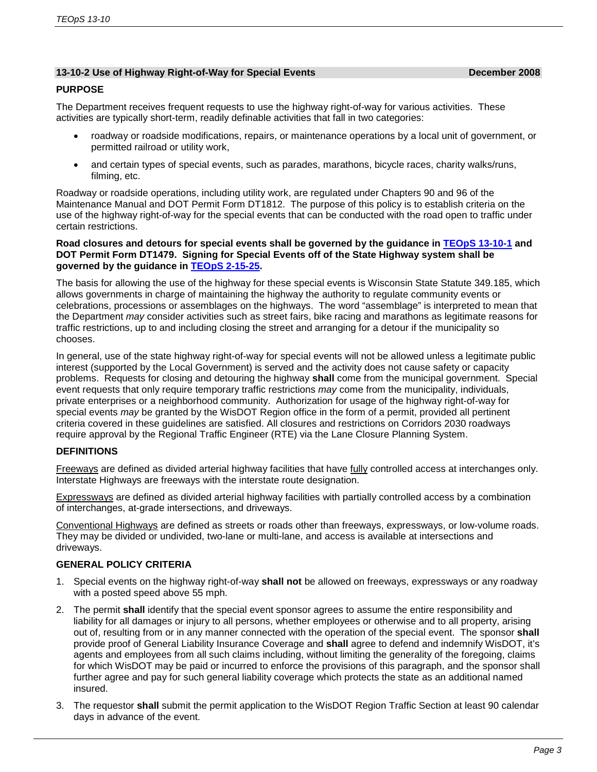### **13-10-2 Use of Highway Right-of-Way for Special Events December 2008**

### **PURPOSE**

The Department receives frequent requests to use the highway right-of-way for various activities. These activities are typically short-term, readily definable activities that fall in two categories:

- roadway or roadside modifications, repairs, or maintenance operations by a local unit of government, or permitted railroad or utility work,
- and certain types of special events, such as parades, marathons, bicycle races, charity walks/runs, filming, etc.

Roadway or roadside operations, including utility work, are regulated under Chapters 90 and 96 of the Maintenance Manual and DOT Permit Form DT1812. The purpose of this policy is to establish criteria on the use of the highway right-of-way for the special events that can be conducted with the road open to traffic under certain restrictions.

#### **Road closures and detours for special events shall be governed by the guidance in [TEOpS](http://wisconsindot.gov/dtsdManuals/traffic-ops/manuals-and-standards/teops/13-10.pdf) 13-10-1 and DOT Permit Form DT1479. Signing for Special Events off of the State Highway system shall be governed by the guidance in TEOpS [2-15-25.](http://wisconsindot.gov/dtsdManuals/traffic-ops/manuals-and-standards/teops/02-15.pdf)**

The basis for allowing the use of the highway for these special events is Wisconsin State Statute 349.185, which allows governments in charge of maintaining the highway the authority to regulate community events or celebrations, processions or assemblages on the highways. The word "assemblage" is interpreted to mean that the Department *may* consider activities such as street fairs, bike racing and marathons as legitimate reasons for traffic restrictions, up to and including closing the street and arranging for a detour if the municipality so chooses.

In general, use of the state highway right-of-way for special events will not be allowed unless a legitimate public interest (supported by the Local Government) is served and the activity does not cause safety or capacity problems. Requests for closing and detouring the highway **shall** come from the municipal government. Special event requests that only require temporary traffic restrictions *may* come from the municipality, individuals, private enterprises or a neighborhood community. Authorization for usage of the highway right-of-way for special events *may* be granted by the WisDOT Region office in the form of a permit, provided all pertinent criteria covered in these guidelines are satisfied. All closures and restrictions on Corridors 2030 roadways require approval by the Regional Traffic Engineer (RTE) via the Lane Closure Planning System.

# **DEFINITIONS**

Freeways are defined as divided arterial highway facilities that have fully controlled access at interchanges only. Interstate Highways are freeways with the interstate route designation.

Expressways are defined as divided arterial highway facilities with partially controlled access by a combination of interchanges, at-grade intersections, and driveways.

Conventional Highways are defined as streets or roads other than freeways, expressways, or low-volume roads. They may be divided or undivided, two-lane or multi-lane, and access is available at intersections and driveways.

#### **GENERAL POLICY CRITERIA**

- 1. Special events on the highway right-of-way **shall not** be allowed on freeways, expressways or any roadway with a posted speed above 55 mph.
- 2. The permit **shall** identify that the special event sponsor agrees to assume the entire responsibility and liability for all damages or injury to all persons, whether employees or otherwise and to all property, arising out of, resulting from or in any manner connected with the operation of the special event. The sponsor **shall** provide proof of General Liability Insurance Coverage and **shall** agree to defend and indemnify WisDOT, it's agents and employees from all such claims including, without limiting the generality of the foregoing, claims for which WisDOT may be paid or incurred to enforce the provisions of this paragraph, and the sponsor shall further agree and pay for such general liability coverage which protects the state as an additional named insured.
- 3. The requestor **shall** submit the permit application to the WisDOT Region Traffic Section at least 90 calendar days in advance of the event.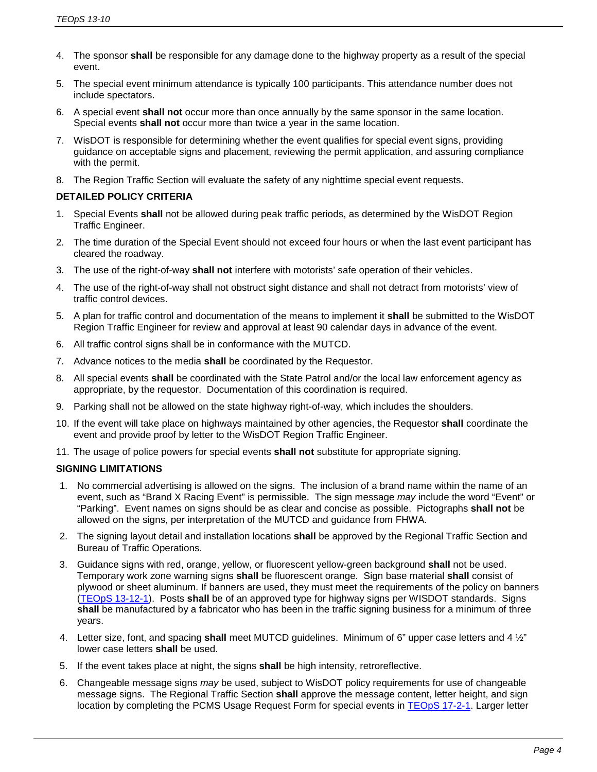- 4. The sponsor **shall** be responsible for any damage done to the highway property as a result of the special event.
- 5. The special event minimum attendance is typically 100 participants. This attendance number does not include spectators.
- 6. A special event **shall not** occur more than once annually by the same sponsor in the same location. Special events **shall not** occur more than twice a year in the same location.
- 7. WisDOT is responsible for determining whether the event qualifies for special event signs, providing guidance on acceptable signs and placement, reviewing the permit application, and assuring compliance with the permit.
- 8. The Region Traffic Section will evaluate the safety of any nighttime special event requests.

# **DETAILED POLICY CRITERIA**

- 1. Special Events **shall** not be allowed during peak traffic periods, as determined by the WisDOT Region Traffic Engineer.
- 2. The time duration of the Special Event should not exceed four hours or when the last event participant has cleared the roadway.
- 3. The use of the right-of-way **shall not** interfere with motorists' safe operation of their vehicles.
- 4. The use of the right-of-way shall not obstruct sight distance and shall not detract from motorists' view of traffic control devices.
- 5. A plan for traffic control and documentation of the means to implement it **shall** be submitted to the WisDOT Region Traffic Engineer for review and approval at least 90 calendar days in advance of the event.
- 6. All traffic control signs shall be in conformance with the MUTCD.
- 7. Advance notices to the media **shall** be coordinated by the Requestor.
- 8. All special events **shall** be coordinated with the State Patrol and/or the local law enforcement agency as appropriate, by the requestor. Documentation of this coordination is required.
- 9. Parking shall not be allowed on the state highway right-of-way, which includes the shoulders.
- 10. If the event will take place on highways maintained by other agencies, the Requestor **shall** coordinate the event and provide proof by letter to the WisDOT Region Traffic Engineer.
- 11. The usage of police powers for special events **shall not** substitute for appropriate signing.

# **SIGNING LIMITATIONS**

- 1. No commercial advertising is allowed on the signs. The inclusion of a brand name within the name of an event, such as "Brand X Racing Event" is permissible. The sign message *may* include the word "Event" or "Parking". Event names on signs should be as clear and concise as possible. Pictographs **shall not** be allowed on the signs, per interpretation of the MUTCD and guidance from FHWA.
- 2. The signing layout detail and installation locations **shall** be approved by the Regional Traffic Section and Bureau of Traffic Operations.
- 3. Guidance signs with red, orange, yellow, or fluorescent yellow-green background **shall** not be used. Temporary work zone warning signs **shall** be fluorescent orange. Sign base material **shall** consist of plywood or sheet aluminum. If banners are used, they must meet the requirements of the policy on banners (TEOpS [13-12-1\)](http://wisconsindot.gov/dtsdManuals/traffic-ops/manuals-and-standards/teops/13-12.pdf). Posts **shall** be of an approved type for highway signs per WISDOT standards. Signs **shall** be manufactured by a fabricator who has been in the traffic signing business for a minimum of three years.
- 4. Letter size, font, and spacing **shall** meet MUTCD guidelines. Minimum of 6" upper case letters and 4 ½" lower case letters **shall** be used.
- 5. If the event takes place at night, the signs **shall** be high intensity, retroreflective.
- 6. Changeable message signs *may* be used, subject to WisDOT policy requirements for use of changeable message signs. The Regional Traffic Section **shall** approve the message content, letter height, and sign location by completing the PCMS Usage Request Form for special events in [TEOpS](http://wisconsindot.gov/dtsdManuals/traffic-ops/manuals-and-standards/teops/17-02.pdf) 17-2-1. Larger letter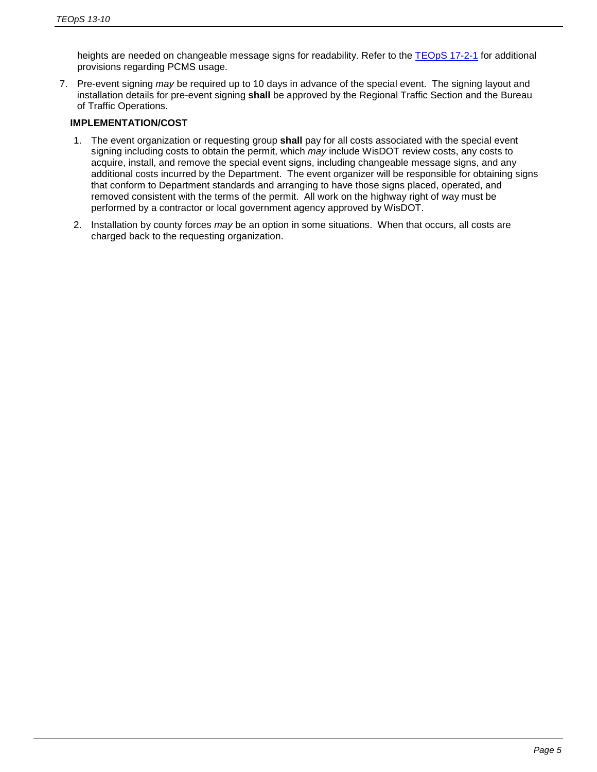heights are needed on changeable message signs for readability. Refer to the [TEOpS](http://wisconsindot.gov/dtsdManuals/traffic-ops/manuals-and-standards/teops/17-02.pdf) 17-2-1 for additional provisions regarding PCMS usage.

7. Pre-event signing *may* be required up to 10 days in advance of the special event. The signing layout and installation details for pre-event signing **shall** be approved by the Regional Traffic Section and the Bureau of Traffic Operations.

# **IMPLEMENTATION/COST**

- 1. The event organization or requesting group **shall** pay for all costs associated with the special event signing including costs to obtain the permit, which *may* include WisDOT review costs, any costs to acquire, install, and remove the special event signs, including changeable message signs, and any additional costs incurred by the Department. The event organizer will be responsible for obtaining signs that conform to Department standards and arranging to have those signs placed, operated, and removed consistent with the terms of the permit. All work on the highway right of way must be performed by a contractor or local government agency approved by WisDOT.
- 2. Installation by county forces *may* be an option in some situations. When that occurs, all costs are charged back to the requesting organization.